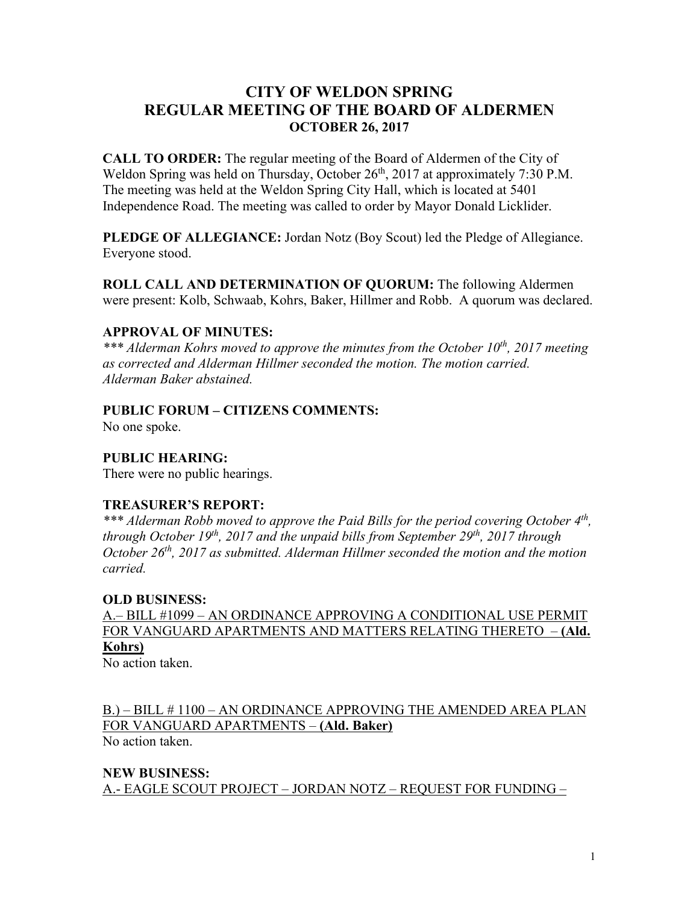# **CITY OF WELDON SPRING REGULAR MEETING OF THE BOARD OF ALDERMEN OCTOBER 26, 2017**

**CALL TO ORDER:** The regular meeting of the Board of Aldermen of the City of Weldon Spring was held on Thursday, October 26<sup>th</sup>, 2017 at approximately 7:30 P.M. The meeting was held at the Weldon Spring City Hall, which is located at 5401 Independence Road. The meeting was called to order by Mayor Donald Licklider.

**PLEDGE OF ALLEGIANCE:** Jordan Notz (Boy Scout) led the Pledge of Allegiance. Everyone stood.

**ROLL CALL AND DETERMINATION OF QUORUM:** The following Aldermen were present: Kolb, Schwaab, Kohrs, Baker, Hillmer and Robb. A quorum was declared.

### **APPROVAL OF MINUTES:**

*\*\*\* Alderman Kohrs moved to approve the minutes from the October 10th, 2017 meeting as corrected and Alderman Hillmer seconded the motion. The motion carried. Alderman Baker abstained.*

## **PUBLIC FORUM – CITIZENS COMMENTS:**

No one spoke.

## **PUBLIC HEARING:**

There were no public hearings.

### **TREASURER'S REPORT:**

*\*\*\* Alderman Robb moved to approve the Paid Bills for the period covering October 4th, through October 19th, 2017 and the unpaid bills from September 29th, 2017 through October 26th, 2017 as submitted. Alderman Hillmer seconded the motion and the motion carried.*

### **OLD BUSINESS:**

A.– BILL #1099 – AN ORDINANCE APPROVING A CONDITIONAL USE PERMIT FOR VANGUARD APARTMENTS AND MATTERS RELATING THERETO – **(Ald. Kohrs)**

No action taken.

B.) – BILL # 1100 – AN ORDINANCE APPROVING THE AMENDED AREA PLAN FOR VANGUARD APARTMENTS – **(Ald. Baker)** No action taken.

**NEW BUSINESS:** A.- EAGLE SCOUT PROJECT – JORDAN NOTZ – REQUEST FOR FUNDING –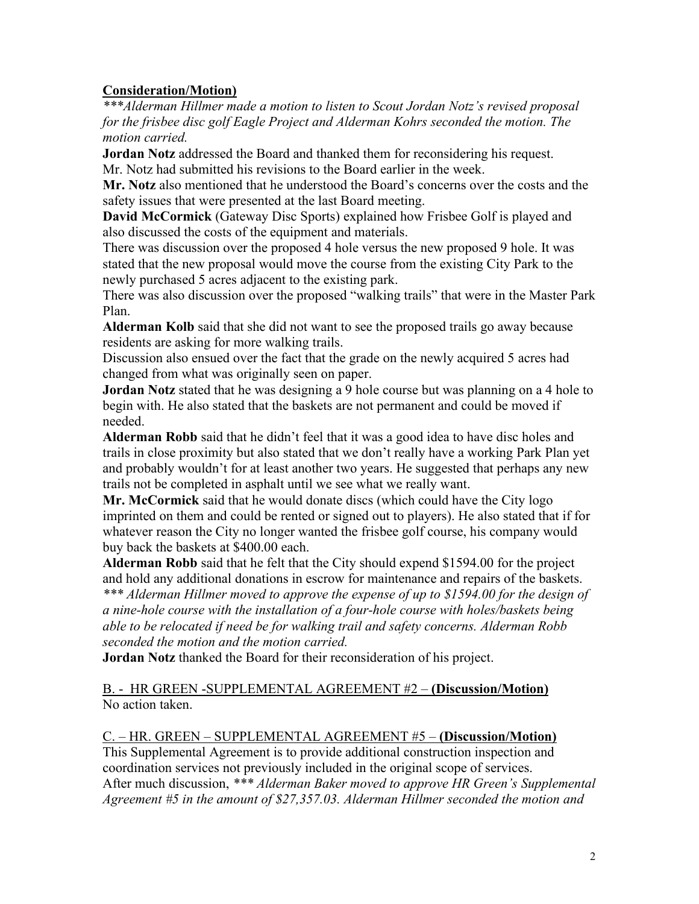## **Consideration/Motion)**

*\*\*\*Alderman Hillmer made a motion to listen to Scout Jordan Notz's revised proposal for the frisbee disc golf Eagle Project and Alderman Kohrs seconded the motion. The motion carried.*

**Jordan Notz** addressed the Board and thanked them for reconsidering his request. Mr. Notz had submitted his revisions to the Board earlier in the week.

**Mr. Notz** also mentioned that he understood the Board's concerns over the costs and the safety issues that were presented at the last Board meeting.

**David McCormick** (Gateway Disc Sports) explained how Frisbee Golf is played and also discussed the costs of the equipment and materials.

There was discussion over the proposed 4 hole versus the new proposed 9 hole. It was stated that the new proposal would move the course from the existing City Park to the newly purchased 5 acres adjacent to the existing park.

There was also discussion over the proposed "walking trails" that were in the Master Park Plan.

**Alderman Kolb** said that she did not want to see the proposed trails go away because residents are asking for more walking trails.

Discussion also ensued over the fact that the grade on the newly acquired 5 acres had changed from what was originally seen on paper.

**Jordan Notz** stated that he was designing a 9 hole course but was planning on a 4 hole to begin with. He also stated that the baskets are not permanent and could be moved if needed.

**Alderman Robb** said that he didn't feel that it was a good idea to have disc holes and trails in close proximity but also stated that we don't really have a working Park Plan yet and probably wouldn't for at least another two years. He suggested that perhaps any new trails not be completed in asphalt until we see what we really want.

**Mr. McCormick** said that he would donate discs (which could have the City logo imprinted on them and could be rented or signed out to players). He also stated that if for whatever reason the City no longer wanted the frisbee golf course, his company would buy back the baskets at \$400.00 each.

**Alderman Robb** said that he felt that the City should expend \$1594.00 for the project and hold any additional donations in escrow for maintenance and repairs of the baskets. *\*\*\* Alderman Hillmer moved to approve the expense of up to \$1594.00 for the design of a nine-hole course with the installation of a four-hole course with holes/baskets being able to be relocated if need be for walking trail and safety concerns. Alderman Robb* 

*seconded the motion and the motion carried.*

**Jordan Notz** thanked the Board for their reconsideration of his project.

### B. - HR GREEN -SUPPLEMENTAL AGREEMENT #2 – **(Discussion/Motion)** No action taken.

### C. – HR. GREEN – SUPPLEMENTAL AGREEMENT #5 – **(Discussion/Motion)**

This Supplemental Agreement is to provide additional construction inspection and coordination services not previously included in the original scope of services. After much discussion, *\*\*\* Alderman Baker moved to approve HR Green's Supplemental Agreement #5 in the amount of \$27,357.03. Alderman Hillmer seconded the motion and*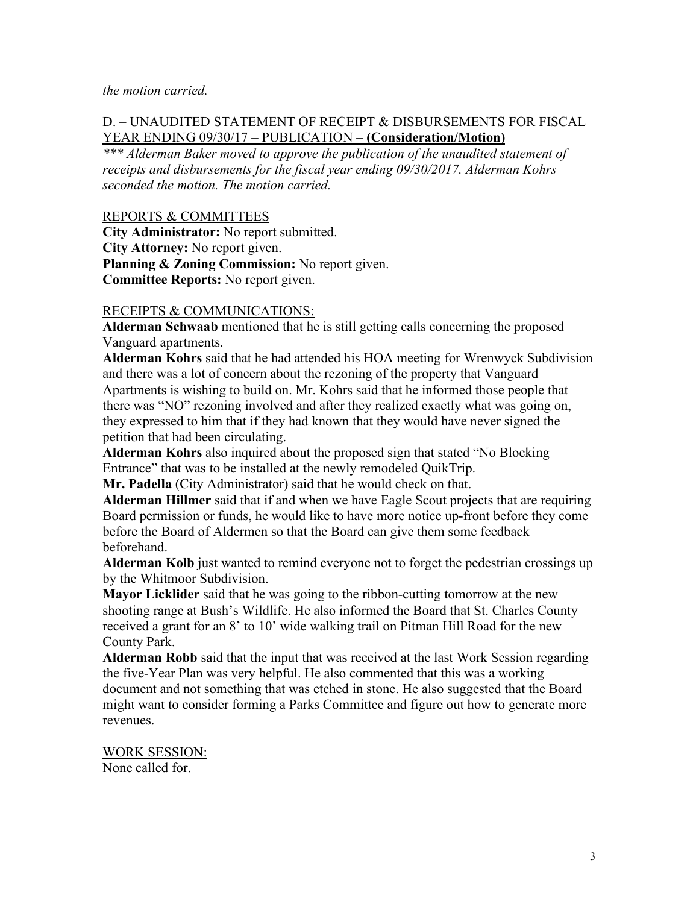*the motion carried.*

#### D. – UNAUDITED STATEMENT OF RECEIPT & DISBURSEMENTS FOR FISCAL YEAR ENDING 09/30/17 – PUBLICATION – **(Consideration/Motion)**

*\*\*\* Alderman Baker moved to approve the publication of the unaudited statement of receipts and disbursements for the fiscal year ending 09/30/2017. Alderman Kohrs seconded the motion. The motion carried.*

#### REPORTS & COMMITTEES

**City Administrator:** No report submitted. **City Attorney:** No report given. **Planning & Zoning Commission:** No report given. **Committee Reports:** No report given.

#### RECEIPTS & COMMUNICATIONS:

**Alderman Schwaab** mentioned that he is still getting calls concerning the proposed Vanguard apartments.

**Alderman Kohrs** said that he had attended his HOA meeting for Wrenwyck Subdivision and there was a lot of concern about the rezoning of the property that Vanguard Apartments is wishing to build on. Mr. Kohrs said that he informed those people that there was "NO" rezoning involved and after they realized exactly what was going on, they expressed to him that if they had known that they would have never signed the petition that had been circulating.

**Alderman Kohrs** also inquired about the proposed sign that stated "No Blocking Entrance" that was to be installed at the newly remodeled QuikTrip.

**Mr. Padella** (City Administrator) said that he would check on that.

**Alderman Hillmer** said that if and when we have Eagle Scout projects that are requiring Board permission or funds, he would like to have more notice up-front before they come before the Board of Aldermen so that the Board can give them some feedback beforehand.

**Alderman Kolb** just wanted to remind everyone not to forget the pedestrian crossings up by the Whitmoor Subdivision.

**Mayor Licklider** said that he was going to the ribbon-cutting tomorrow at the new shooting range at Bush's Wildlife. He also informed the Board that St. Charles County received a grant for an 8' to 10' wide walking trail on Pitman Hill Road for the new County Park.

**Alderman Robb** said that the input that was received at the last Work Session regarding the five-Year Plan was very helpful. He also commented that this was a working document and not something that was etched in stone. He also suggested that the Board might want to consider forming a Parks Committee and figure out how to generate more revenues.

WORK SESSION: None called for.